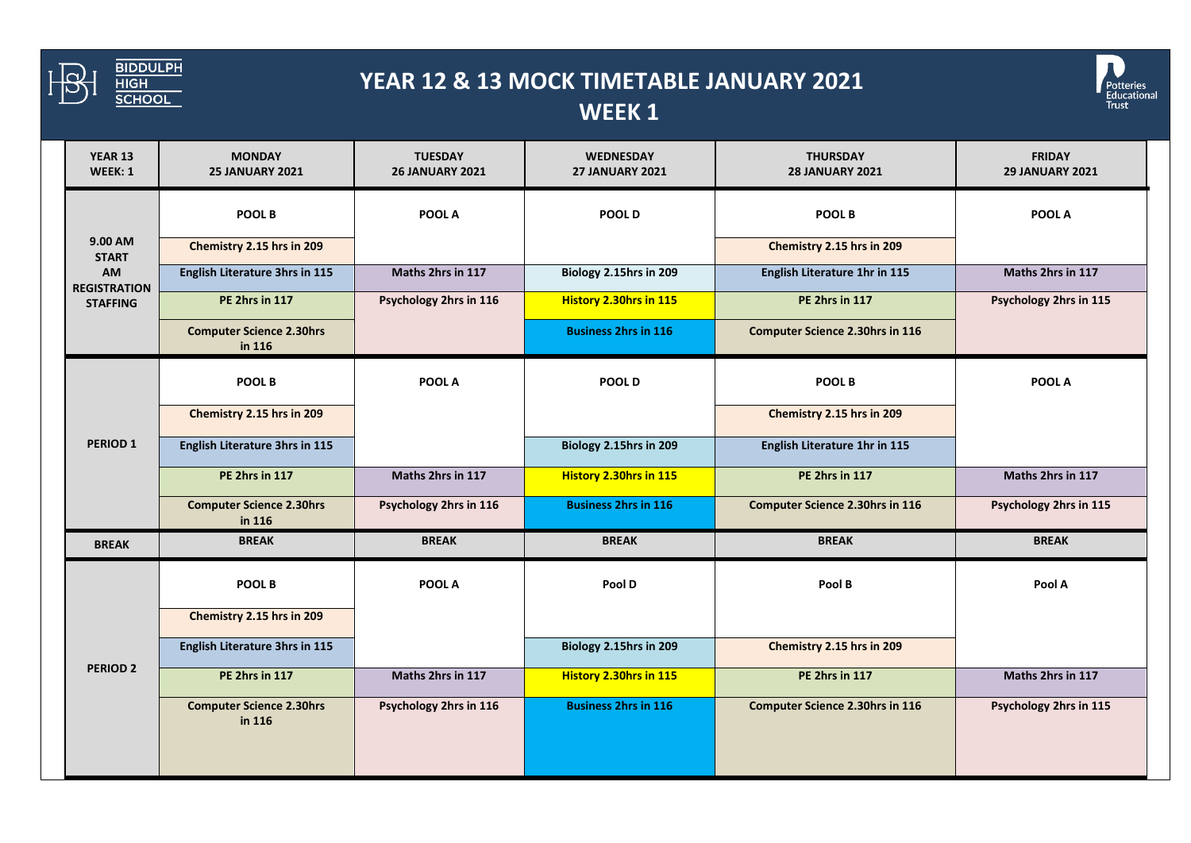

## **YEAR 12 & 13 MOCK TIMETABLE JANUARY 2021 WEEK 1**



| <b>YEAR 13</b><br>WEEK: 1                                                      | <b>MONDAY</b><br><b>25 JANUARY 2021</b>   | <b>TUESDAY</b><br><b>26 JANUARY 2021</b> | <b>WEDNESDAY</b><br><b>27 JANUARY 2021</b> | <b>THURSDAY</b><br><b>28 JANUARY 2021</b> | <b>FRIDAY</b><br><b>29 JANUARY 2021</b> |
|--------------------------------------------------------------------------------|-------------------------------------------|------------------------------------------|--------------------------------------------|-------------------------------------------|-----------------------------------------|
| 9.00 AM<br><b>START</b><br><b>AM</b><br><b>REGISTRATION</b><br><b>STAFFING</b> | POOL B                                    | POOL A                                   | POOL D                                     | POOL B                                    | POOL A                                  |
|                                                                                | Chemistry 2.15 hrs in 209                 |                                          |                                            | Chemistry 2.15 hrs in 209                 |                                         |
|                                                                                | <b>English Literature 3hrs in 115</b>     | Maths 2hrs in 117                        | Biology 2.15hrs in 209                     | English Literature 1hr in 115             | Maths 2hrs in 117                       |
|                                                                                | <b>PE 2hrs in 117</b>                     | Psychology 2hrs in 116                   | History 2.30hrs in 115                     | PE 2hrs in 117                            | Psychology 2hrs in 115                  |
|                                                                                | <b>Computer Science 2.30hrs</b><br>in 116 |                                          | <b>Business 2hrs in 116</b>                | <b>Computer Science 2.30hrs in 116</b>    |                                         |
| <b>PERIOD 1</b>                                                                | POOL B                                    | POOL A                                   | POOL D                                     | POOL B                                    | POOL A                                  |
|                                                                                | Chemistry 2.15 hrs in 209                 |                                          |                                            | Chemistry 2.15 hrs in 209                 |                                         |
|                                                                                | English Literature 3hrs in 115            |                                          | Biology 2.15hrs in 209                     | English Literature 1hr in 115             |                                         |
|                                                                                | PE 2hrs in 117                            | Maths 2hrs in 117                        | History 2.30hrs in 115                     | PE 2hrs in 117                            | Maths 2hrs in 117                       |
|                                                                                | <b>Computer Science 2.30hrs</b><br>in 116 | Psychology 2hrs in 116                   | <b>Business 2hrs in 116</b>                | <b>Computer Science 2.30hrs in 116</b>    | Psychology 2hrs in 115                  |
| <b>BREAK</b>                                                                   | <b>BREAK</b>                              | <b>BREAK</b>                             | <b>BREAK</b>                               | <b>BREAK</b>                              | <b>BREAK</b>                            |
| PERIOD <sub>2</sub>                                                            | <b>POOL B</b>                             | POOL A                                   | Pool D                                     | Pool B                                    | Pool A                                  |
|                                                                                | Chemistry 2.15 hrs in 209                 |                                          |                                            |                                           |                                         |
|                                                                                | English Literature 3hrs in 115            |                                          | Biology 2.15hrs in 209                     | Chemistry 2.15 hrs in 209                 |                                         |
|                                                                                | <b>PE 2hrs in 117</b>                     | Maths 2hrs in 117                        | <b>History 2.30hrs in 115</b>              | PE 2hrs in 117                            | Maths 2hrs in 117                       |
|                                                                                | <b>Computer Science 2.30hrs</b><br>in 116 | Psychology 2hrs in 116                   | <b>Business 2hrs in 116</b>                | <b>Computer Science 2.30hrs in 116</b>    | Psychology 2hrs in 115                  |